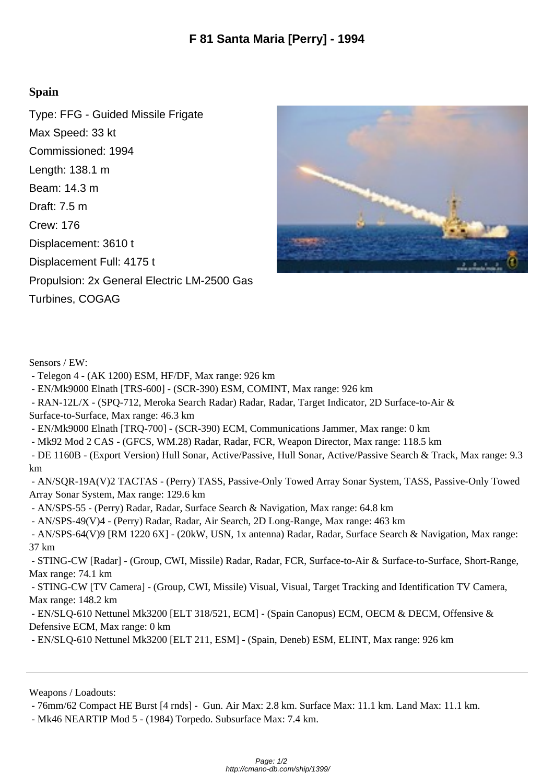## **Spain**

Type: FFG - Guided Missile Frigate Max Speed: 33 kt Commissioned: 1994 Length: 138.1 m Beam: 14.3 m Draft: 7.5 m Crew: 176 Displacement: 3610 t Displacement Full: 4175 t Propulsion: 2x General Electric LM-2500 Gas Turbines, COGAG



Sensors / EW:

- Telegon 4 - (AK 1200) ESM, HF/DF, Max range: 926 km

- EN/Mk9000 Elnath [TRS-600] - (SCR-390) ESM, COMINT, Max range: 926 km

 - RAN-12L/X - (SPQ-712, Meroka Search Radar) Radar, Radar, Target Indicator, 2D Surface-to-Air & Surface-to-Surface, Max range: 46.3 km

- EN/Mk9000 Elnath [TRQ-700] - (SCR-390) ECM, Communications Jammer, Max range: 0 km

- Mk92 Mod 2 CAS - (GFCS, WM.28) Radar, Radar, FCR, Weapon Director, Max range: 118.5 km

 - DE 1160B - (Export Version) Hull Sonar, Active/Passive, Hull Sonar, Active/Passive Search & Track, Max range: 9.3 km

 - AN/SQR-19A(V)2 TACTAS - (Perry) TASS, Passive-Only Towed Array Sonar System, TASS, Passive-Only Towed Array Sonar System, Max range: 129.6 km

- AN/SPS-55 - (Perry) Radar, Radar, Surface Search & Navigation, Max range: 64.8 km

- AN/SPS-49(V)4 - (Perry) Radar, Radar, Air Search, 2D Long-Range, Max range: 463 km

 - AN/SPS-64(V)9 [RM 1220 6X] - (20kW, USN, 1x antenna) Radar, Radar, Surface Search & Navigation, Max range: 37 km

 - STING-CW [Radar] - (Group, CWI, Missile) Radar, Radar, FCR, Surface-to-Air & Surface-to-Surface, Short-Range, Max range: 74.1 km

 - STING-CW [TV Camera] - (Group, CWI, Missile) Visual, Visual, Target Tracking and Identification TV Camera, Max range: 148.2 km

 - EN/SLQ-610 Nettunel Mk3200 [ELT 318/521, ECM] - (Spain Canopus) ECM, OECM & DECM, Offensive & Defensive ECM, Max range: 0 km

- EN/SLQ-610 Nettunel Mk3200 [ELT 211, ESM] - (Spain, Deneb) ESM, ELINT, Max range: 926 km

Weapons / Loadouts:

- 76mm/62 Compact HE Burst [4 rnds] - Gun. Air Max: 2.8 km. Surface Max: 11.1 km. Land Max: 11.1 km.

- Mk46 NEARTIP Mod 5 - (1984) Torpedo. Subsurface Max: 7.4 km.